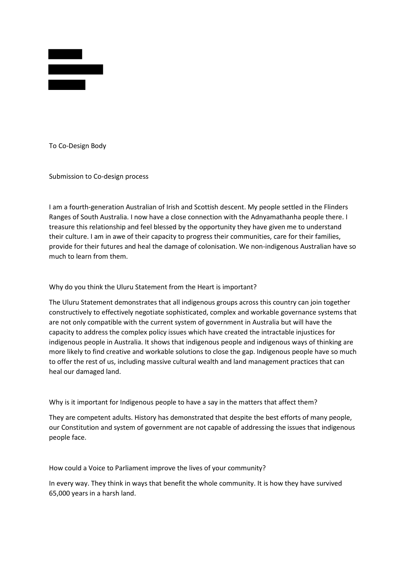

To Co-Design Body

Submission to Co-design process

I am a fourth-generation Australian of Irish and Scottish descent. My people settled in the Flinders Ranges of South Australia. I now have a close connection with the Adnyamathanha people there. I treasure this relationship and feel blessed by the opportunity they have given me to understand their culture. I am in awe of their capacity to progress their communities, care for their families, provide for their futures and heal the damage of colonisation. We non-indigenous Australian have so much to learn from them.

Why do you think the Uluru Statement from the Heart is important?

The Uluru Statement demonstrates that all indigenous groups across this country can join together constructively to effectively negotiate sophisticated, complex and workable governance systems that are not only compatible with the current system of government in Australia but will have the capacity to address the complex policy issues which have created the intractable injustices for indigenous people in Australia. It shows that indigenous people and indigenous ways of thinking are more likely to find creative and workable solutions to close the gap. Indigenous people have so much to offer the rest of us, including massive cultural wealth and land management practices that can heal our damaged land.

Why is it important for Indigenous people to have a say in the matters that affect them?

They are competent adults. History has demonstrated that despite the best efforts of many people, our Constitution and system of government are not capable of addressing the issues that indigenous people face.

How could a Voice to Parliament improve the lives of your community?

In every way. They think in ways that benefit the whole community. It is how they have survived 65,000 years in a harsh land.